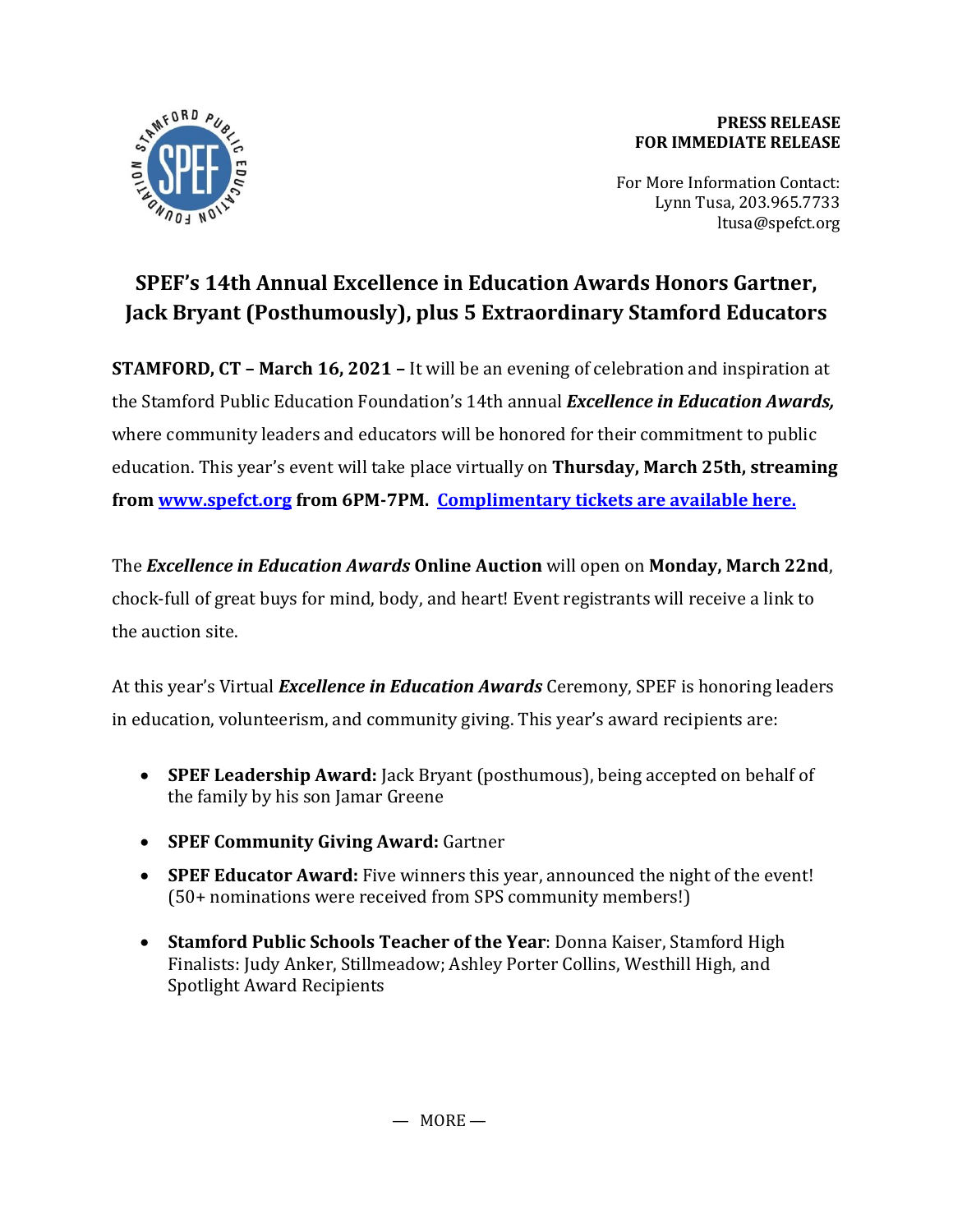

## **PRESS RELEASE FOR IMMEDIATE RELEASE**

For More Information Contact: Lynn Tusa, 203.965.7733 ltusa@spefct.org

## **SPEF's 14th Annual Excellence in Education Awards Honors Gartner, Jack Bryant (Posthumously), plus 5 Extraordinary Stamford Educators**

**STAMFORD, CT – March 16, 2021 –** It will be an evening of celebration and inspiration at the Stamford Public Education Foundation's 14th annual *Excellence in Education Awards,*  where community leaders and educators will be honored for their commitment to public education. This year's event will take place virtually on **Thursday, March 25th, streaming fro[m www.spefct.org](http://www.spefct.org/) from 6PM-7PM. [Complimentary tickets are available here.](https://spefct.salsalabs.org/2021ExcellenceinEducationAwards/index.html)**

The *Excellence in Education Awards* **Online Auction** will open on **Monday, March 22nd**, chock-full of great buys for mind, body, and heart! Event registrants will receive a link to the auction site.

At this year's Virtual *Excellence in Education Awards* Ceremony, SPEF is honoring leaders in education, volunteerism, and community giving. This year's award recipients are:

- **SPEF Leadership Award:** Jack Bryant (posthumous), being accepted on behalf of the family by his son Jamar Greene
- **SPEF Community Giving Award:** Gartner
- **SPEF Educator Award:** Five winners this year, announced the night of the event! (50+ nominations were received from SPS community members!)
- **Stamford Public Schools Teacher of the Year**: Donna Kaiser, Stamford High Finalists: Judy Anker, Stillmeadow; Ashley Porter Collins, Westhill High, and Spotlight Award Recipients